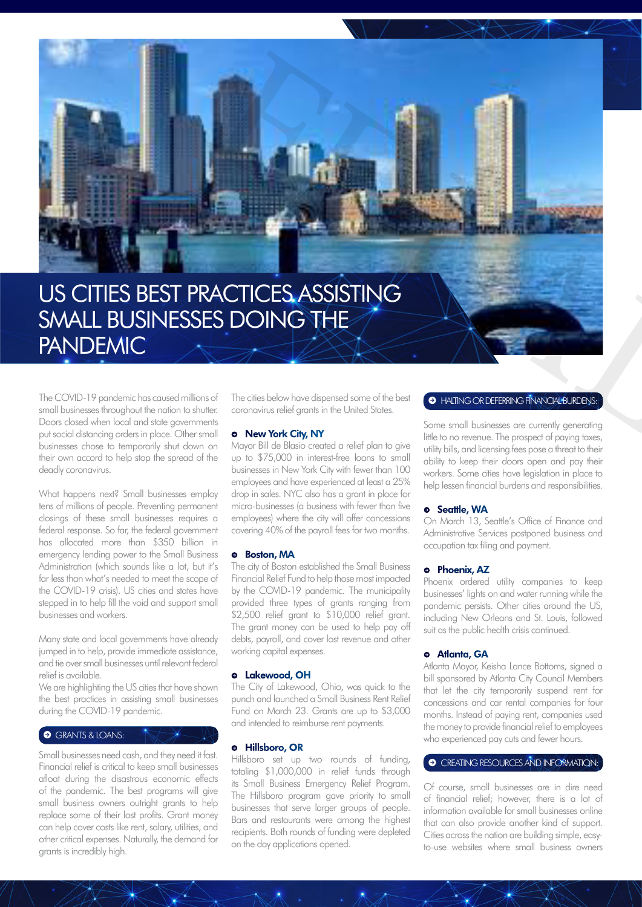

# US CITIES BEST PRACTICES ASSISTING SMALL BUSINESSES DOING THE PANDEMIC

The COVID-19 pandemic has caused millions of small businesses throughout the nation to shutter. Doors closed when local and state governments put social distancing orders in place. Other small businesses chose to temporarily shut down on their own accord to help stop the spread of the deadly coronavirus.

What happens next? Small businesses employ tens of millions of people. Preventing permanent closings of these small businesses requires a federal response. So far, the federal government has allocated more than \$350 billion in emergency lending power to the Small Business Administration (which sounds like a lot, but it's far less than what's needed to meet the scope of the COVID-19 crisis). US cities and states have stepped in to help fill the void and support small businesses and workers.

Many state and local governments have already jumped in to help, provide immediate assistance, and tie over small businesses until relevant federal relief is available.

We are highlighting the US cities that have shown the best practices in assisting small businesses during the COVID-19 pandemic.

## **•** GRANTS & LOANS:

Small businesses need cash, and they need it fast. Financial relief is critical to keep small businesses afloat during the disastrous economic effects of the pandemic. The best programs will give small business owners outright grants to help replace some of their lost profits. Grant money can help cover costs like rent, salary, utilities, and other critical expenses. Naturally, the demand for grants is incredibly high.

The cities below have dispensed some of the best coronavirus relief grants in the United States.

## **→** New York City, NY

Mayor Bill de Blasio created a relief plan to give up to \$75,000 in interest-free loans to small businesses in New York City with fewer than 100 employees and have experienced at least a 25% drop in sales. NYC also has a grant in place for micro-businesses (a business with fewer than five employees) where the city will offer concessions covering 40% of the payroll fees for two months.

#### **→** Boston, MA

The city of Boston established the Small Business Financial Relief Fund to help those most impacted by the COVID-19 pandemic. The municipality provided three types of grants ranging from \$2,500 relief grant to \$10,000 relief grant. The grant money can be used to help pay off debts, payroll, and cover lost revenue and other working capital expenses.

## **→** Lakewood, OH

The City of Lakewood, Ohio, was quick to the punch and launched a Small Business Rent Relief Fund on March 23. Grants are up to \$3,000 and intended to reimburse rent payments.

# **→** Hillsboro, OR

Hillsboro set up two rounds of funding, totaling \$1,000,000 in relief funds through its Small Business Emergency Relief Program. The Hillsboro program gave priority to small businesses that serve larger groups of people. Bars and restaurants were among the highest recipients. Both rounds of funding were depleted on the day applications opened.

# **A** HALTING OR DEFERRING FINANCIAL BURDENS:

Some small businesses are currently generating little to no revenue. The prospect of paying taxes, utility bills, and licensing fees pose a threat to their ability to keep their doors open and pay their workers. Some cities have legislation in place to help lessen financial burdens and responsibilities.

#### **→** Seattle, WA

On March 13, Seattle's Office of Finance and Administrative Services postponed business and occupation tax filing and payment.

#### **→** Phoenix, AZ

Phoenix ordered utility companies to keep businesses' lights on and water running while the pandemic persists. Other cities around the US, including New Orleans and St. Louis, followed suit as the public health crisis continued.

#### **→** Atlanta, GA

Atlanta Mayor, Keisha Lance Bottoms, signed a bill sponsored by Atlanta City Council Members that let the city temporarily suspend rent for concessions and car rental companies for four months. Instead of paying rent, companies used the money to provide financial relief to employees who experienced pay cuts and fewer hours.

# *•* CREATING RESOURCES AND INFORMATION:

Of course, small businesses are in dire need of financial relief; however, there is a lot of information available for small businesses online that can also provide another kind of support. Cities across the nation are building simple, easyto-use websites where small business owners